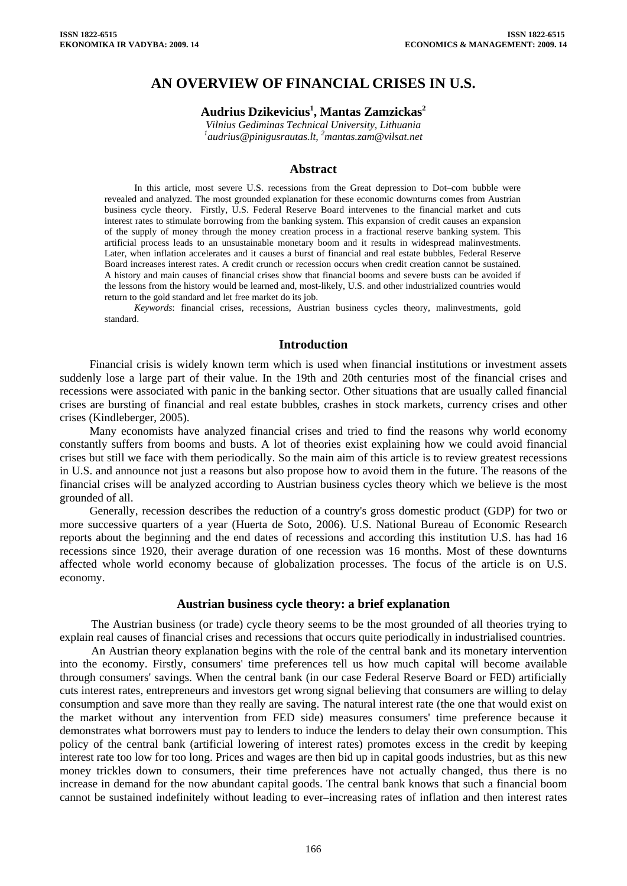# **AN OVERVIEW OF FINANCIAL CRISES IN U.S.**

# **Audrius Dzikevicius1 , Mantas Zamzickas2**

*Vilnius Gediminas Technical University, Lithuania [1](mailto:1audrius@pinigusrautas.lt) [audrius@pinigusrautas.lt](mailto:1audrius@pinigusrautas.lt), 2 mantas.zam@vilsat.net* 

#### **Abstract**

In this article, most severe U.S. recessions from the Great depression to Dot–com bubble were revealed and analyzed. The most grounded explanation for these economic downturns comes from Austrian business cycle theory. Firstly, U.S. Federal Reserve Board intervenes to the financial market and cuts interest rates to stimulate borrowing from the banking system. This expansion of credit causes an expansion of the supply of money through the money creation process in a fractional reserve banking system. This artificial process leads to an unsustainable monetary boom and it results in widespread malinvestments. Later, when inflation accelerates and it causes a burst of financial and real estate bubbles, Federal Reserve Board increases interest rates. A credit crunch or recession occurs when credit creation cannot be sustained. A history and main causes of financial crises show that financial booms and severe busts can be avoided if the lessons from the history would be learned and, most-likely, U.S. and other industrialized countries would return to the gold standard and let free market do its job.

*Keywords*: financial crises, recessions, Austrian business cycles theory, malinvestments, gold standard.

#### **Introduction**

Financial crisis is widely known term which is used when financial institutions or investment assets suddenly lose a large part of their value. In the 19th and 20th centuries most of the financial crises and recessions were associated with panic in the banking sector. Other situations that are usually called financial crises are bursting of financial and real estate bubbles, crashes in stock markets, currency crises and other crises (Kindleberger, 2005).

Many economists have analyzed financial crises and tried to find the reasons why world economy constantly suffers from booms and busts. A lot of theories exist explaining how we could avoid financial crises but still we face with them periodically. So the main aim of this article is to review greatest recessions in U.S. and announce not just a reasons but also propose how to avoid them in the future. The reasons of the financial crises will be analyzed according to Austrian business cycles theory which we believe is the most grounded of all.

Generally, recession describes the reduction of a country's gross domestic product (GDP) for two or more successive quarters of a year (Huerta de Soto, 2006). U.S. National Bureau of Economic Research reports about the beginning and the end dates of recessions and according this institution U.S. has had 16 recessions since 1920, their average duration of one recession was 16 months. Most of these downturns affected whole world economy because of globalization processes. The focus of the article is on U.S. economy.

#### **Austrian business cycle theory: a brief explanation**

The Austrian business (or trade) cycle theory seems to be the most grounded of all theories trying to explain real causes of financial crises and recessions that occurs quite periodically in industrialised countries.

An Austrian theory explanation begins with the role of the central bank and its monetary intervention into the economy. Firstly, consumers' time preferences tell us how much capital will become available through consumers' savings. When the central bank (in our case Federal Reserve Board or FED) artificially cuts interest rates, entrepreneurs and investors get wrong signal believing that consumers are willing to delay consumption and save more than they really are saving. The natural interest rate (the one that would exist on the market without any intervention from FED side) measures consumers' time preference because it demonstrates what borrowers must pay to lenders to induce the lenders to delay their own consumption. This policy of the central bank (artificial lowering of interest rates) promotes excess in the credit by keeping interest rate too low for too long. Prices and wages are then bid up in capital goods industries, but as this new money trickles down to consumers, their time preferences have not actually changed, thus there is no increase in demand for the now abundant capital goods. The central bank knows that such a financial boom cannot be sustained indefinitely without leading to ever–increasing rates of inflation and then interest rates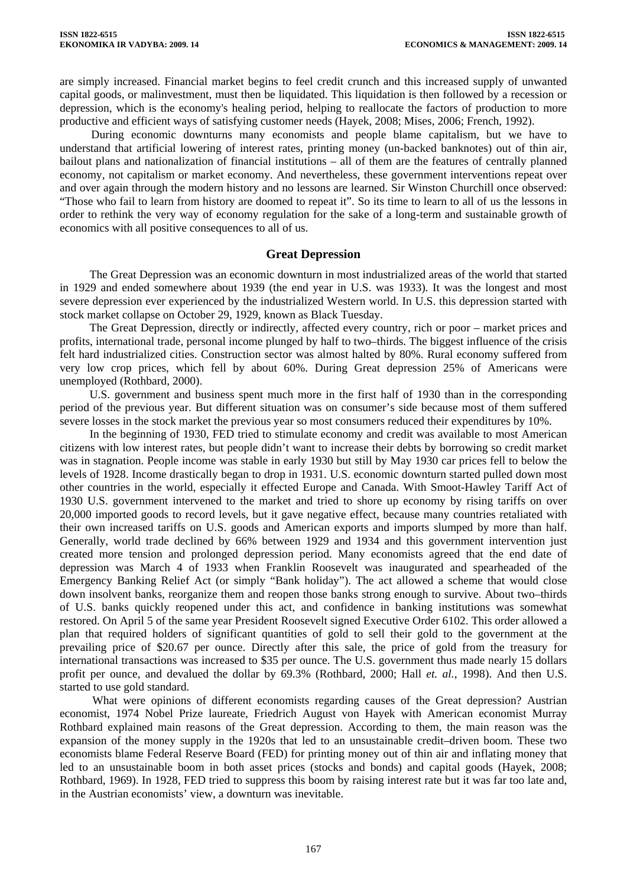are simply increased. Financial market begins to feel credit crunch and this increased supply of unwanted capital goods, or malinvestment, must then be liquidated. This liquidation is then followed by a recession or depression, which is the economy's healing period, helping to reallocate the factors of production to more productive and efficient ways of satisfying customer needs (Hayek, 2008; Mises, 2006; French, 1992).

During economic downturns many economists and people blame capitalism, but we have to understand that artificial lowering of interest rates, printing money (un-backed banknotes) out of thin air, bailout plans and nationalization of financial institutions – all of them are the features of centrally planned economy, not capitalism or market economy. And nevertheless, these government interventions repeat over and over again through the modern history and no lessons are learned. Sir Winston Churchill once observed: "Those who fail to learn from history are doomed to repeat it". So its time to learn to all of us the lessons in order to rethink the very way of economy regulation for the sake of a long-term and sustainable growth of economics with all positive consequences to all of us.

### **Great Depression**

The Great Depression was an economic downturn in most industrialized areas of the world that started in 1929 and ended somewhere about 1939 (the end year in U.S. was 1933). It was the longest and most severe depression ever experienced by the industrialized Western world. In U.S. this depression started with stock market collapse on October 29, 1929, known as Black Tuesday.

The Great Depression, directly or indirectly, affected every country, rich or poor – market prices and profits, international trade, personal income plunged by half to two–thirds. The biggest influence of the crisis felt hard industrialized cities. Construction sector was almost halted by 80%. Rural economy suffered from very low crop prices, which fell by about 60%. During Great depression 25% of Americans were unemployed (Rothbard, 2000).

U.S. government and business spent much more in the first half of 1930 than in the corresponding period of the previous year. But different situation was on consumer's side because most of them suffered severe losses in the stock market the previous year so most consumers reduced their expenditures by 10%.

In the beginning of 1930, FED tried to stimulate economy and credit was available to most American citizens with low interest rates, but people didn't want to increase their debts by borrowing so credit market was in stagnation. People income was stable in early 1930 but still by May 1930 car prices fell to below the levels of 1928. Income drastically began to drop in 1931. U.S. economic downturn started pulled down most other countries in the world, especially it effected Europe and Canada. With Smoot-Hawley Tariff Act of 1930 U.S. government intervened to the market and tried to shore up economy by rising tariffs on over 20,000 imported goods to record levels, but it gave negative effect, because many countries retaliated with their own increased tariffs on U.S. goods and American exports and imports slumped by more than half. Generally, world trade declined by 66% between 1929 and 1934 and this government intervention just created more tension and prolonged depression period. Many economists agreed that the end date of depression was March 4 of 1933 when Franklin Roosevelt was inaugurated and spearheaded of the Emergency Banking Relief Act (or simply "Bank holiday"). The act allowed a scheme that would close down insolvent banks, reorganize them and reopen those banks strong enough to survive. About two–thirds of U.S. banks quickly reopened under this act, and confidence in banking institutions was somewhat restored. On April 5 of the same year President Roosevelt signed Executive Order 6102. This order allowed a plan that required holders of significant quantities of gold to sell their gold to the government at the prevailing price of \$20.67 per ounce. Directly after this sale, the price of gold from the treasury for international transactions was increased to \$35 per ounce. The U.S. government thus made nearly 15 dollars profit per ounce, and devalued the dollar by 69.3% (Rothbard, 2000; Hall *et. al.*, 1998). And then U.S. started to use gold standard.

 What were opinions of different economists regarding causes of the Great depression? Austrian economist, 1974 Nobel Prize laureate, Friedrich August von Hayek with American economist Murray Rothbard explained main reasons of the Great depression. According to them, the main reason was the expansion of the money supply in the 1920s that led to an unsustainable credit–driven boom. These two economists blame Federal Reserve Board (FED) for printing money out of thin air and inflating money that led to an unsustainable boom in both asset prices (stocks and bonds) and capital goods (Hayek, 2008; Rothbard, 1969). In 1928, FED tried to suppress this boom by raising interest rate but it was far too late and, in the Austrian economists' view, a downturn was inevitable.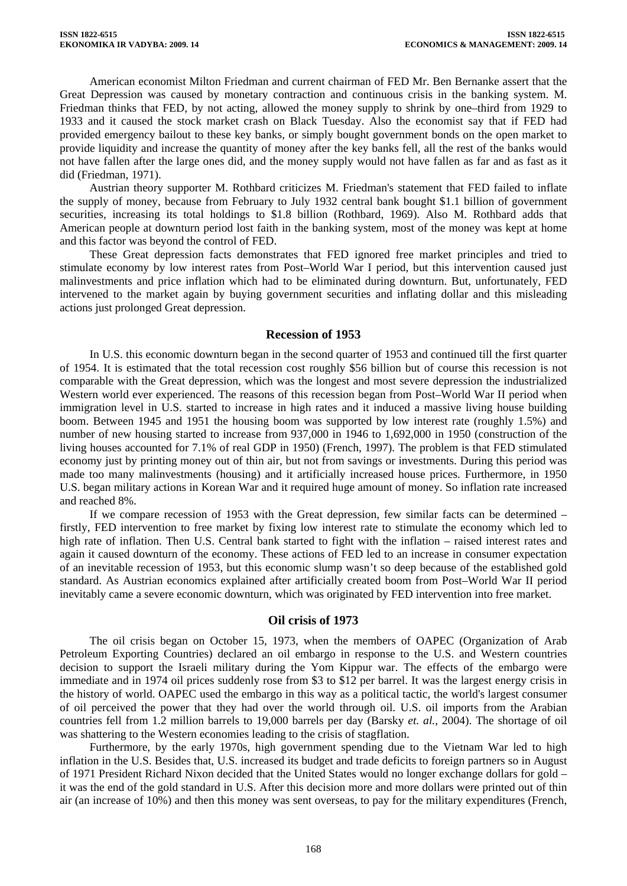American economist Milton Friedman and current chairman of FED Mr. Ben Bernanke assert that the Great Depression was caused by monetary contraction and continuous crisis in the banking system. M. Friedman thinks that FED, by not acting, allowed the money supply to shrink by one–third from 1929 to 1933 and it caused the stock market crash on Black Tuesday. Also the economist say that if FED had provided emergency bailout to these key banks, or simply bought government bonds on the open market to provide liquidity and increase the quantity of money after the key banks fell, all the rest of the banks would not have fallen after the large ones did, and the money supply would not have fallen as far and as fast as it did (Friedman, 1971).

Austrian theory supporter M. Rothbard criticizes M. Friedman's statement that FED failed to inflate the supply of money, because from February to July 1932 central bank bought \$1.1 billion of government securities, increasing its total holdings to \$1.8 billion (Rothbard, 1969). Also M. Rothbard adds that American people at downturn period lost faith in the banking system, most of the money was kept at home and this factor was beyond the control of FED.

These Great depression facts demonstrates that FED ignored free market principles and tried to stimulate economy by low interest rates from Post–World War I period, but this intervention caused just malinvestments and price inflation which had to be eliminated during downturn. But, unfortunately, FED intervened to the market again by buying government securities and inflating dollar and this misleading actions just prolonged Great depression.

#### **Recession of 1953**

In U.S. this economic downturn began in the second quarter of 1953 and continued till the first quarter of 1954. It is estimated that the total recession cost roughly \$56 billion but of course this recession is not comparable with the Great depression, which was the longest and most severe depression the industrialized Western world ever experienced. The reasons of this recession began from Post–World War II period when immigration level in U.S. started to increase in high rates and it induced a massive living house building boom. Between 1945 and 1951 the housing boom was supported by low interest rate (roughly 1.5%) and number of new housing started to increase from 937,000 in 1946 to 1,692,000 in 1950 (construction of the living houses accounted for 7.1% of real GDP in 1950) (French, 1997). The problem is that FED stimulated economy just by printing money out of thin air, but not from savings or investments. During this period was made too many malinvestments (housing) and it artificially increased house prices. Furthermore, in 1950 U.S. began military actions in Korean War and it required huge amount of money. So inflation rate increased and reached 8%.

If we compare recession of 1953 with the Great depression, few similar facts can be determined – firstly, FED intervention to free market by fixing low interest rate to stimulate the economy which led to high rate of inflation. Then U.S. Central bank started to fight with the inflation – raised interest rates and again it caused downturn of the economy. These actions of FED led to an increase in consumer expectation of an inevitable recession of 1953, but this economic slump wasn't so deep because of the established gold standard. As Austrian economics explained after artificially created boom from Post–World War II period inevitably came a severe economic downturn, which was originated by FED intervention into free market.

### **Oil crisis of 1973**

The oil crisis began on October 15, 1973, when the members of OAPEC (Organization of Arab Petroleum Exporting Countries) declared an oil embargo in response to the U.S. and Western countries decision to support the Israeli military during the Yom Kippur war. The effects of the embargo were immediate and in 1974 oil prices suddenly rose from \$3 to \$12 per barrel. It was the largest energy crisis in the history of world. OAPEC used the embargo in this way as a political tactic, the world's largest consumer of oil perceived the power that they had over the world through oil. U.S. oil imports from the Arabian countries fell from 1.2 million barrels to 19,000 barrels per day (Barsky *et. al.*, 2004). The shortage of oil was shattering to the Western economies leading to the crisis of stagflation.

Furthermore, by the early 1970s, high government spending due to the Vietnam War led to high inflation in the U.S. Besides that, U.S. increased its budget and trade deficits to foreign partners so in August of 1971 President Richard Nixon decided that the United States would no longer exchange dollars for gold – it was the end of the gold standard in U.S. After this decision more and more dollars were printed out of thin air (an increase of 10%) and then this money was sent overseas, to pay for the military expenditures (French,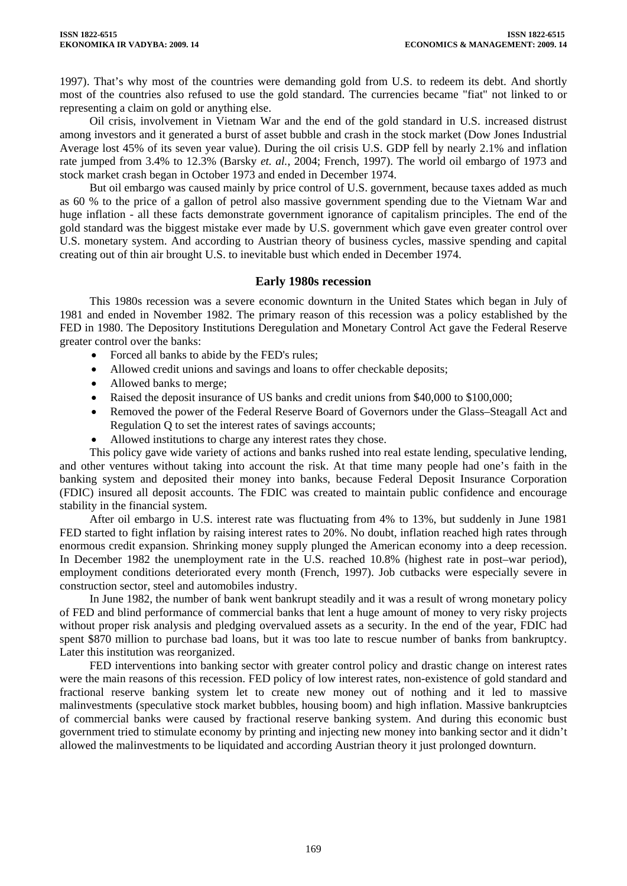1997). That's why most of the countries were demanding gold from U.S. to redeem its debt. And shortly most of the countries also refused to use the gold standard. The currencies became "fiat" not linked to or representing a claim on gold or anything else.

Oil crisis, involvement in Vietnam War and the end of the gold standard in U.S. increased distrust among investors and it generated a burst of asset bubble and crash in the stock market (Dow Jones Industrial Average lost 45% of its seven year value). During the oil crisis U.S. GDP fell by nearly 2.1% and inflation rate jumped from 3.4% to 12.3% (Barsky *et. al.*, 2004; French, 1997). The world oil embargo of 1973 and stock market crash began in October 1973 and ended in December 1974.

But oil embargo was caused mainly by price control of U.S. government, because taxes added as much as 60 % to the price of a gallon of petrol also massive government spending due to the Vietnam War and huge inflation - all these facts demonstrate government ignorance of capitalism principles. The end of the gold standard was the biggest mistake ever made by U.S. government which gave even greater control over U.S. monetary system. And according to Austrian theory of business cycles, massive spending and capital creating out of thin air brought U.S. to inevitable bust which ended in December 1974.

## **Early 1980s recession**

This 1980s recession was a severe economic downturn in the United States which began in July of 1981 and ended in November 1982. The primary reason of this recession was a policy established by the FED in 1980. The Depository Institutions Deregulation and Monetary Control Act gave the Federal Reserve greater control over the banks:

- Forced all banks to abide by the FED's rules;
- Allowed credit unions and savings and loans to offer checkable deposits;
- Allowed banks to merge;
- Raised the deposit insurance of US banks and credit unions from \$40,000 to \$100,000;
- Removed the power of the Federal Reserve Board of Governors under the Glass–Steagall Act and Regulation Q to set the interest rates of savings accounts;
- Allowed institutions to charge any interest rates they chose.

This policy gave wide variety of actions and banks rushed into real estate lending, speculative lending, and other ventures without taking into account the risk. At that time many people had one's faith in the banking system and deposited their money into banks, because Federal Deposit Insurance Corporation (FDIC) insured all deposit accounts. The FDIC was created to maintain public confidence and encourage stability in the financial system.

After oil embargo in U.S. interest rate was fluctuating from 4% to 13%, but suddenly in June 1981 FED started to fight inflation by raising interest rates to 20%. No doubt, inflation reached high rates through enormous credit expansion. Shrinking money supply plunged the American economy into a deep recession. In December 1982 the unemployment rate in the U.S. reached 10.8% (highest rate in post–war period), employment conditions deteriorated every month (French, 1997). Job cutbacks were especially severe in construction sector, steel and automobiles industry.

In June 1982, the number of bank went bankrupt steadily and it was a result of wrong monetary policy of FED and blind performance of commercial banks that lent a huge amount of money to very risky projects without proper risk analysis and pledging overvalued assets as a security. In the end of the year, FDIC had spent \$870 million to purchase bad loans, but it was too late to rescue number of banks from bankruptcy. Later this institution was reorganized.

FED interventions into banking sector with greater control policy and drastic change on interest rates were the main reasons of this recession. FED policy of low interest rates, non-existence of gold standard and fractional reserve banking system let to create new money out of nothing and it led to massive malinvestments (speculative stock market bubbles, housing boom) and high inflation. Massive bankruptcies of commercial banks were caused by fractional reserve banking system. And during this economic bust government tried to stimulate economy by printing and injecting new money into banking sector and it didn't allowed the malinvestments to be liquidated and according Austrian theory it just prolonged downturn.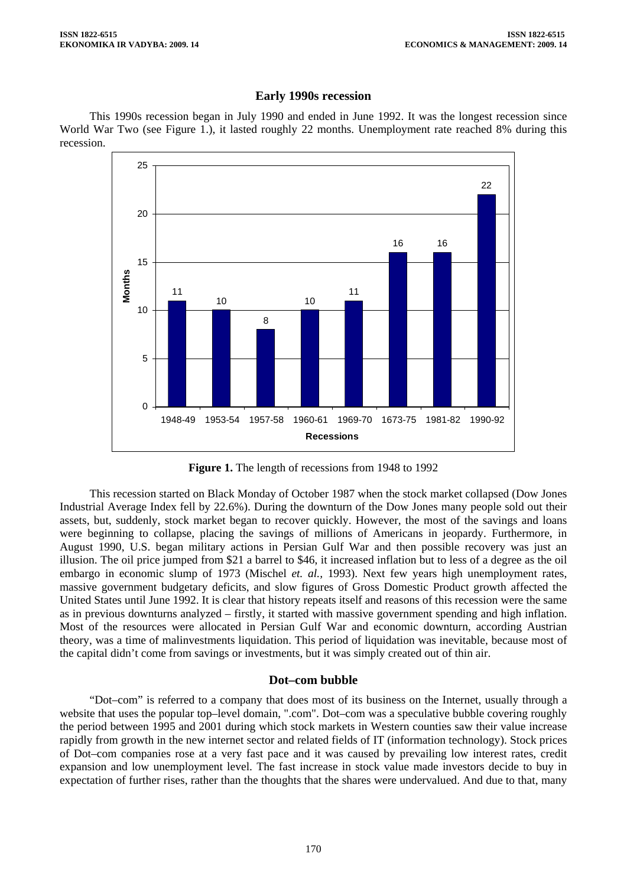### **Early 1990s recession**

This 1990s recession began in July 1990 and ended in June 1992. It was the longest recession since World War Two (see Figure 1.), it lasted roughly 22 months. Unemployment rate reached 8% during this recession.



**Figure 1.** The length of recessions from 1948 to 1992

This recession started on Black Monday of October 1987 when the stock market collapsed (Dow Jones Industrial Average Index fell by 22.6%). During the downturn of the Dow Jones many people sold out their assets, but, suddenly, stock market began to recover quickly. However, the most of the savings and loans were beginning to collapse, placing the savings of millions of Americans in jeopardy. Furthermore, in August 1990, U.S. began military actions in Persian Gulf War and then possible recovery was just an illusion. The oil price jumped from \$21 a barrel to \$46, it increased inflation but to less of a degree as the oil embargo in economic slump of 1973 (Mischel *et. al.,* 1993). Next few years high unemployment rates, massive government budgetary deficits, and slow figures of Gross Domestic Product growth affected the United States until June 1992. It is clear that history repeats itself and reasons of this recession were the same as in previous downturns analyzed – firstly, it started with massive government spending and high inflation. Most of the resources were allocated in Persian Gulf War and economic downturn, according Austrian theory, was a time of malinvestments liquidation. This period of liquidation was inevitable, because most of the capital didn't come from savings or investments, but it was simply created out of thin air.

# **Dot–com bubble**

"Dot–com" is referred to a company that does most of its business on the Internet, usually through a website that uses the popular top–level domain, ".com". Dot–com was a speculative bubble covering roughly the period between 1995 and 2001 during which stock markets in Western counties saw their value increase rapidly from growth in the new internet sector and related fields of IT (information technology). Stock prices of Dot–com companies rose at a very fast pace and it was caused by prevailing low interest rates, credit expansion and low unemployment level. The fast increase in stock value made investors decide to buy in expectation of further rises, rather than the thoughts that the shares were undervalued. And due to that, many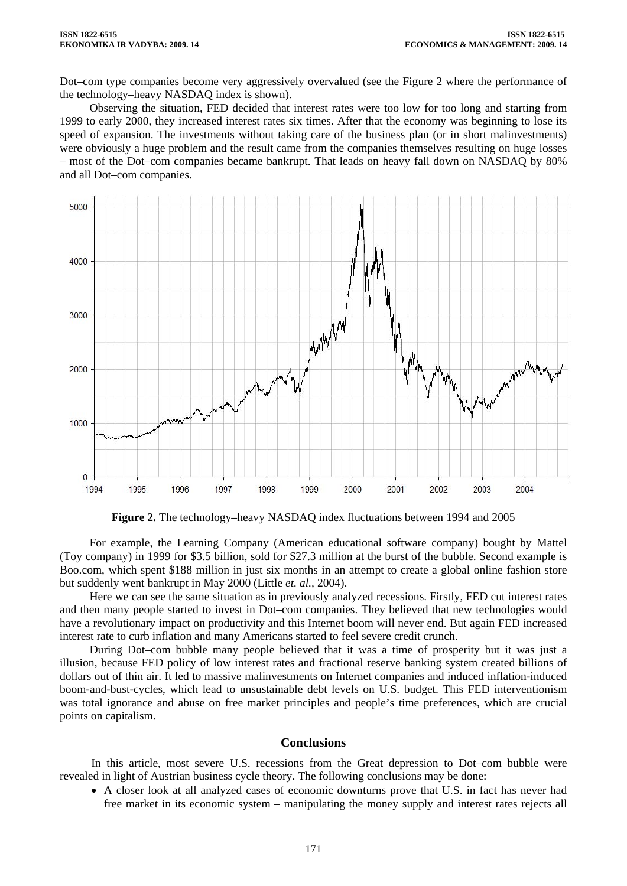Dot–com type companies become very aggressively overvalued (see the Figure 2 where the performance of the technology–heavy NASDAQ index is shown).

Observing the situation, FED decided that interest rates were too low for too long and starting from 1999 to early 2000, they increased interest rates six times. After that the economy was beginning to lose its speed of expansion. The investments without taking care of the business plan (or in short malinvestments) were obviously a huge problem and the result came from the companies themselves resulting on huge losses – most of the Dot–com companies became bankrupt. That leads on heavy fall down on NASDAQ by 80% and all Dot–com companies.



**Figure 2.** The technology–heavy NASDAQ index fluctuations between 1994 and 2005

For example, the Learning Company (American educational software company) bought by Mattel (Toy company) in 1999 for \$3.5 billion, sold for \$27.3 million at the burst of the bubble. Second example is Boo.com, which spent \$188 million in just six months in an attempt to create a global online fashion store but suddenly went bankrupt in May 2000 (Little *et. al.,* 2004).

Here we can see the same situation as in previously analyzed recessions. Firstly, FED cut interest rates and then many people started to invest in Dot–com companies. They believed that new technologies would have a revolutionary impact on productivity and this Internet boom will never end. But again FED increased interest rate to curb inflation and many Americans started to feel severe credit crunch.

During Dot–com bubble many people believed that it was a time of prosperity but it was just a illusion, because FED policy of low interest rates and fractional reserve banking system created billions of dollars out of thin air. It led to massive malinvestments on Internet companies and induced inflation-induced boom-and-bust-cycles, which lead to unsustainable debt levels on U.S. budget. This FED interventionism was total ignorance and abuse on free market principles and people's time preferences, which are crucial points on capitalism.

# **Conclusions**

In this article, most severe U.S. recessions from the Great depression to Dot–com bubble were revealed in light of Austrian business cycle theory. The following conclusions may be done:

• A closer look at all analyzed cases of economic downturns prove that U.S. in fact has never had free market in its economic system – manipulating the money supply and interest rates rejects all